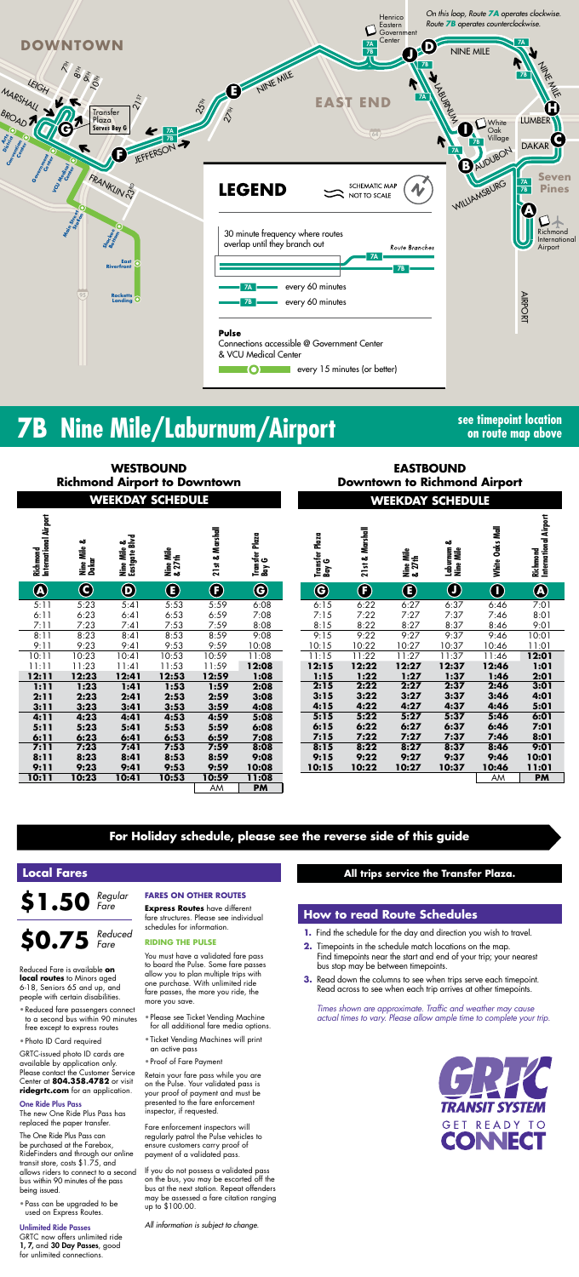

# **7B Nine Mile/Laburnum/Airport see timepoint location**

**on route map above**

**EASTBOUND Downtown to Richmond Airport**

AM **PM**

| <b>WEEKDAY SCHEDULE</b><br><b>WEEKDAY SCHEDULE</b><br>Richmond<br>International Airport<br>21st & Marshall<br>21st & Marshall<br>Transfer Plaza<br>Bay G<br>Transfer Plaza<br>Bay G<br>Nine Mile &<br>Eastgate Blvd<br>Nine Mile &<br>Dakar<br>Laburnum &<br>Nine Mile<br>Nine Mile<br>& 27th<br>Nine Mile<br>& 27th<br>$\bigcirc\hspace{-1.5ex}\bigcirc$<br>$\mathbf G$<br>$\bf \Phi$<br>$\bf{G}$<br>$\bigcirc$<br>$\bf \bm \Theta$<br>$\bf G$<br>$\bigcirc$<br>$\bigoplus$<br>$\bf \bf G$<br>6:15<br>6:22<br>6:27<br>6:37<br>5:23<br>5:41<br>5:53<br>5:59<br>6:08<br>5:11<br>7:22<br>7:27<br>6:23<br>7:15<br>7:37<br>6:41<br>6:53<br>6:59<br>6:11<br>7:08<br>8:22<br>8:37<br>7:23<br>8:08<br>8:27<br>7:53<br>7:59<br>8:15<br>7:11<br>7:41<br>9:22<br>9:27<br>9:37<br>8:53<br>8:59<br>9:08<br>9:15<br>8:11<br>8:23<br>8:41<br>9:23<br>9:41<br>9:53<br>9:59<br>10:22<br>10:37<br>9:11<br>10:08<br>10:15<br>10:27<br>$\overline{1}$<br>11:22<br>11:37<br>10:23<br>10:53<br>10:59<br>11:15<br>11:27<br>10:11<br>10:41<br>11:08<br>$\mathbf{L}$<br>12:15<br>12:22<br>12:27<br>12:37<br>11:23<br>12:08<br>11:53<br>11:59<br>11:11<br>11:41<br>1:22<br>1:27<br>1:37<br>12:23<br>12:53<br>12:59<br>1:15<br>12:11<br>12:41<br>1:08<br>2:22<br>1:23<br>2:27<br>2:37<br>1:11<br>1:59<br>2:15<br>1:41<br>1:53<br>2:08<br>2:23<br>2:59<br>2:11<br>2:41<br>2:53<br>3:08<br>3:22<br>3:27<br>3:37<br>3:15<br>4:37<br>3:11<br>3:23<br>3:59<br>4:15<br>4:22<br>4:27<br>3:41<br>3:53<br>4:08<br>3:37<br>5:22<br>5:27<br>4:23<br>4:53<br>4:59<br>5:15<br>4:11<br>5:08<br>4:41<br>5:23<br>5:59<br>6:22<br>6:27<br>6:37<br>5:11<br>5:41<br>5:53<br>6:08<br>6:15<br>7:22<br>7:27<br>7:37<br>6:23<br>6:59<br>7:08<br>7:15<br>6:53<br>6:11<br>6:41<br>8:22<br>8:37<br>8:27<br>7:23<br>7:53<br>7:59<br>8:08<br>8:15<br>7:11<br>7:41<br>9:22<br>9:27<br>9:37<br>8:23<br>8:59<br>9:08<br>9:15<br>8:11<br>8:41<br>8:53<br>9:23<br>10:22<br>10:37<br>9:53<br>9:59<br>10:08<br>10:27<br>9:11<br>9:41<br>10:15<br>Ъ<br>10:23<br>10:11<br>10:53<br>10:59<br>11:08<br>10:41 | <b>Richmond Airport to Downtown</b> | <b>WESTBOUND</b> | <b>EASTBOUND</b><br><b>Downtown to Richmond A</b> |           |  |  |  |  |              |
|---------------------------------------------------------------------------------------------------------------------------------------------------------------------------------------------------------------------------------------------------------------------------------------------------------------------------------------------------------------------------------------------------------------------------------------------------------------------------------------------------------------------------------------------------------------------------------------------------------------------------------------------------------------------------------------------------------------------------------------------------------------------------------------------------------------------------------------------------------------------------------------------------------------------------------------------------------------------------------------------------------------------------------------------------------------------------------------------------------------------------------------------------------------------------------------------------------------------------------------------------------------------------------------------------------------------------------------------------------------------------------------------------------------------------------------------------------------------------------------------------------------------------------------------------------------------------------------------------------------------------------------------------------------------------------------------------------------------------------------------------------------------------------------------------------------------------------------------------------------------------------------------------------------------------------------------------------------------------------------------------------------------------------------------|-------------------------------------|------------------|---------------------------------------------------|-----------|--|--|--|--|--------------|
|                                                                                                                                                                                                                                                                                                                                                                                                                                                                                                                                                                                                                                                                                                                                                                                                                                                                                                                                                                                                                                                                                                                                                                                                                                                                                                                                                                                                                                                                                                                                                                                                                                                                                                                                                                                                                                                                                                                                                                                                                                             |                                     |                  |                                                   |           |  |  |  |  |              |
|                                                                                                                                                                                                                                                                                                                                                                                                                                                                                                                                                                                                                                                                                                                                                                                                                                                                                                                                                                                                                                                                                                                                                                                                                                                                                                                                                                                                                                                                                                                                                                                                                                                                                                                                                                                                                                                                                                                                                                                                                                             |                                     |                  |                                                   |           |  |  |  |  |              |
|                                                                                                                                                                                                                                                                                                                                                                                                                                                                                                                                                                                                                                                                                                                                                                                                                                                                                                                                                                                                                                                                                                                                                                                                                                                                                                                                                                                                                                                                                                                                                                                                                                                                                                                                                                                                                                                                                                                                                                                                                                             |                                     |                  |                                                   |           |  |  |  |  |              |
|                                                                                                                                                                                                                                                                                                                                                                                                                                                                                                                                                                                                                                                                                                                                                                                                                                                                                                                                                                                                                                                                                                                                                                                                                                                                                                                                                                                                                                                                                                                                                                                                                                                                                                                                                                                                                                                                                                                                                                                                                                             |                                     |                  |                                                   |           |  |  |  |  |              |
|                                                                                                                                                                                                                                                                                                                                                                                                                                                                                                                                                                                                                                                                                                                                                                                                                                                                                                                                                                                                                                                                                                                                                                                                                                                                                                                                                                                                                                                                                                                                                                                                                                                                                                                                                                                                                                                                                                                                                                                                                                             |                                     |                  |                                                   |           |  |  |  |  |              |
|                                                                                                                                                                                                                                                                                                                                                                                                                                                                                                                                                                                                                                                                                                                                                                                                                                                                                                                                                                                                                                                                                                                                                                                                                                                                                                                                                                                                                                                                                                                                                                                                                                                                                                                                                                                                                                                                                                                                                                                                                                             |                                     |                  |                                                   |           |  |  |  |  |              |
|                                                                                                                                                                                                                                                                                                                                                                                                                                                                                                                                                                                                                                                                                                                                                                                                                                                                                                                                                                                                                                                                                                                                                                                                                                                                                                                                                                                                                                                                                                                                                                                                                                                                                                                                                                                                                                                                                                                                                                                                                                             |                                     |                  |                                                   |           |  |  |  |  |              |
|                                                                                                                                                                                                                                                                                                                                                                                                                                                                                                                                                                                                                                                                                                                                                                                                                                                                                                                                                                                                                                                                                                                                                                                                                                                                                                                                                                                                                                                                                                                                                                                                                                                                                                                                                                                                                                                                                                                                                                                                                                             |                                     |                  |                                                   |           |  |  |  |  | $\mathbf{1}$ |
|                                                                                                                                                                                                                                                                                                                                                                                                                                                                                                                                                                                                                                                                                                                                                                                                                                                                                                                                                                                                                                                                                                                                                                                                                                                                                                                                                                                                                                                                                                                                                                                                                                                                                                                                                                                                                                                                                                                                                                                                                                             |                                     |                  |                                                   |           |  |  |  |  |              |
|                                                                                                                                                                                                                                                                                                                                                                                                                                                                                                                                                                                                                                                                                                                                                                                                                                                                                                                                                                                                                                                                                                                                                                                                                                                                                                                                                                                                                                                                                                                                                                                                                                                                                                                                                                                                                                                                                                                                                                                                                                             |                                     |                  |                                                   |           |  |  |  |  |              |
|                                                                                                                                                                                                                                                                                                                                                                                                                                                                                                                                                                                                                                                                                                                                                                                                                                                                                                                                                                                                                                                                                                                                                                                                                                                                                                                                                                                                                                                                                                                                                                                                                                                                                                                                                                                                                                                                                                                                                                                                                                             |                                     |                  |                                                   |           |  |  |  |  |              |
|                                                                                                                                                                                                                                                                                                                                                                                                                                                                                                                                                                                                                                                                                                                                                                                                                                                                                                                                                                                                                                                                                                                                                                                                                                                                                                                                                                                                                                                                                                                                                                                                                                                                                                                                                                                                                                                                                                                                                                                                                                             |                                     |                  |                                                   |           |  |  |  |  |              |
|                                                                                                                                                                                                                                                                                                                                                                                                                                                                                                                                                                                                                                                                                                                                                                                                                                                                                                                                                                                                                                                                                                                                                                                                                                                                                                                                                                                                                                                                                                                                                                                                                                                                                                                                                                                                                                                                                                                                                                                                                                             |                                     |                  |                                                   |           |  |  |  |  |              |
|                                                                                                                                                                                                                                                                                                                                                                                                                                                                                                                                                                                                                                                                                                                                                                                                                                                                                                                                                                                                                                                                                                                                                                                                                                                                                                                                                                                                                                                                                                                                                                                                                                                                                                                                                                                                                                                                                                                                                                                                                                             |                                     |                  |                                                   |           |  |  |  |  |              |
|                                                                                                                                                                                                                                                                                                                                                                                                                                                                                                                                                                                                                                                                                                                                                                                                                                                                                                                                                                                                                                                                                                                                                                                                                                                                                                                                                                                                                                                                                                                                                                                                                                                                                                                                                                                                                                                                                                                                                                                                                                             |                                     |                  |                                                   |           |  |  |  |  |              |
|                                                                                                                                                                                                                                                                                                                                                                                                                                                                                                                                                                                                                                                                                                                                                                                                                                                                                                                                                                                                                                                                                                                                                                                                                                                                                                                                                                                                                                                                                                                                                                                                                                                                                                                                                                                                                                                                                                                                                                                                                                             |                                     |                  |                                                   |           |  |  |  |  |              |
|                                                                                                                                                                                                                                                                                                                                                                                                                                                                                                                                                                                                                                                                                                                                                                                                                                                                                                                                                                                                                                                                                                                                                                                                                                                                                                                                                                                                                                                                                                                                                                                                                                                                                                                                                                                                                                                                                                                                                                                                                                             |                                     |                  |                                                   |           |  |  |  |  |              |
|                                                                                                                                                                                                                                                                                                                                                                                                                                                                                                                                                                                                                                                                                                                                                                                                                                                                                                                                                                                                                                                                                                                                                                                                                                                                                                                                                                                                                                                                                                                                                                                                                                                                                                                                                                                                                                                                                                                                                                                                                                             |                                     |                  |                                                   |           |  |  |  |  |              |
|                                                                                                                                                                                                                                                                                                                                                                                                                                                                                                                                                                                                                                                                                                                                                                                                                                                                                                                                                                                                                                                                                                                                                                                                                                                                                                                                                                                                                                                                                                                                                                                                                                                                                                                                                                                                                                                                                                                                                                                                                                             |                                     |                  |                                                   |           |  |  |  |  |              |
|                                                                                                                                                                                                                                                                                                                                                                                                                                                                                                                                                                                                                                                                                                                                                                                                                                                                                                                                                                                                                                                                                                                                                                                                                                                                                                                                                                                                                                                                                                                                                                                                                                                                                                                                                                                                                                                                                                                                                                                                                                             |                                     |                  |                                                   |           |  |  |  |  |              |
|                                                                                                                                                                                                                                                                                                                                                                                                                                                                                                                                                                                                                                                                                                                                                                                                                                                                                                                                                                                                                                                                                                                                                                                                                                                                                                                                                                                                                                                                                                                                                                                                                                                                                                                                                                                                                                                                                                                                                                                                                                             |                                     |                  | AM                                                | <b>PM</b> |  |  |  |  |              |

*Times shown are approximate. Traffic and weather may cause actual times to vary. Please allow ample time to complete your trip.*



## \$1.50 *Regular Fare*

|                        | <b>DAY SCHEDULE</b> |                 |                         | <b>WEEKDAY SCHEDULE</b> |                         |                 |                     |                            |                            |                                   |  |
|------------------------|---------------------|-----------------|-------------------------|-------------------------|-------------------------|-----------------|---------------------|----------------------------|----------------------------|-----------------------------------|--|
| Eastgate Blvd          | Nine Mile<br>& 27th | 21st & Marshall | Transfer Plaza<br>Bay G |                         | Transfer Plaza<br>Bay G | 21st & Marshall | Nine Mile<br>& 27th | ఱ<br>Laburnum<br>Nine Mile | White Oaks Mall            | Richmond<br>International Airport |  |
| $\widehat{\mathbf{D}}$ | $\bigcirc$          | $\bf{G}$        | $\bf G$                 |                         | $\bf G$                 | $\bigoplus$     | $^\circledR$        | $\bigcirc$                 | $\left( \mathrm{I}\right)$ | $\bigcircledA$                    |  |
| 5:41                   | 5:53                | 5:59            | 6:08                    |                         | 6:15                    | 6:22            | 6:27                | 6:37                       | 6:46                       | 7:01                              |  |
| 5:41                   | 6:53                | 6:59            | 7:08                    |                         | 7:15                    | 7:22            | 7:27                | 7:37                       | 7:46                       | 8:01                              |  |
| 7:41                   | 7:53                | 7:59            | 8:08                    |                         | 8:15                    | 8:22            | 8:27                | 8:37                       | 8:46                       | 9:01                              |  |
| :41                    | 8:53                | 8:59            | 9:08                    |                         | 9:15                    | 9:22            | 9:27                | 9:37                       | 9:46                       | 10:01                             |  |
| :41                    | 9:53                | 9:59            | 10:08                   |                         | 10:15                   | 10:22           | 10:27               | 10:37                      | 10:46                      | 11:01                             |  |
| ): 41                  | 10:53               | 10:59           | 11:08                   |                         | 11:15                   | 11:22           | 11:27               | 11:37                      | 11:46                      | 12:01                             |  |
| :41                    | 11:53               | 11:59           | 12:08                   |                         | 12:15                   | 12:22           | 12:27               | 12:37                      | 12:46                      | 1:01                              |  |
| :41                    | 12:53               | 12:59           | 1:08                    |                         | 1:15                    | 1:22            | 1:27                | 1:37                       | 1:46                       | 2:01                              |  |
| ;41                    | 1:53                | 1:59            | 2:08                    |                         | 2:15                    | 2:22            | 2:27                | 2:37                       | 2:46                       | 3:01                              |  |
| 2:41                   | 2:53                | 2:59            | 3:08                    |                         | 3:15                    | 3:22            | 3:27                | 3:37                       | 3:46                       | 4:01                              |  |
| .41                    | 3:53                | 3:59            | 4:08                    |                         | 4:15                    | 4:22            | 4:27                | 4:37                       | 4:46                       | 5:01                              |  |
| :41                    | 4:53                | 4:59            | 5:08                    |                         | 5:15                    | 5:22            | 5:27                | 5:37                       | 5:46                       | 6:01                              |  |
| :41                    | 5:53                | 5:59            | 6:08                    |                         | 6:15                    | 6:22            | 6:27                | 6:37                       | 6:46                       | 7:01                              |  |
| <b>:41</b>             | 6:53                | 6:59            | 7:08                    |                         | 7:15                    | 7:22            | 7:27                | 7:37                       | 7:46                       | 8:01                              |  |
| :41                    | 7:53                | 7:59            | 8:08                    |                         | 8:15                    | 8:22            | 8:27                | 8:37                       | 8:46                       | 9:01                              |  |
| :41                    | 8:53                | 8:59            | 9:08                    |                         | 9:15                    | 9:22            | 9:27                | 9:37                       | 9:46                       | 10:01                             |  |
| 13:4∶                  | 9:53                | 9:59            | 10:08                   |                         | 10:15                   | 10:22           | 10:27               | 10:37                      | 10:46                      | 11:01                             |  |

### **How to read Route Schedules**

- **1.** Find the schedule for the day and direction you wish to travel.
- **2.** Timepoints in the schedule match locations on the map. Find timepoints near the start and end of your trip; your nearest bus stop may be between timepoints.
- **3.** Read down the columns to see when trips serve each timepoint. Read across to see when each trip arrives at other timepoints.

### **Local Fares**

Reduced Fare is available **on local routes** to Minors aged 6-18, Seniors 65 and up, and people with certain disabilities.

- Reduced fare passengers connect to a second bus within 90 minutes free except to express routes
- Photo ID Card required

GRTC-issued photo ID cards are available by application only. Please contact the Customer Service Center at **804.358.4782** or visit **ridegrtc.com** for an application.

#### One Ride Plus Pass

### **\$0.75** *Reduced Fare*

The new One Ride Plus Pass has replaced the paper transfer.

The One Ride Plus Pass can be purchased at the Farebox, RideFinders and through our online transit store, costs \$1.75, and allows riders to connect to a second bus within 90 minutes of the pass being issued.

• Pass can be upgraded to be used on Express Routes.

#### Unlimited Ride Passes

GRTC now offers unlimited ride 1, 7, and 30 Day Passes, good for unlimited connections.

#### **FARES ON OTHER ROUTES**

**Express Routes** have different fare structures. Please see individual schedules for information.

#### **RIDING THE PULSE**

You must have a validated fare pass to board the Pulse. Some fare passes allow you to plan multiple trips with one purchase. With unlimited ride fare passes, the more you ride, the more you save.

- Please see Ticket Vending Machine for all additional fare media options.
- Ticket Vending Machines will print an active pass
- Proof of Fare Payment

Retain your fare pass while you are on the Pulse. Your validated pass is your proof of payment and must be presented to the fare enforcement inspector, if requested.

Fare enforcement inspectors will regularly patrol the Pulse vehicles to ensure customers carry proof of payment of a validated pass.

If you do not possess a validated pass on the bus, you may be escorted off the bus at the next station. Repeat offenders may be assessed a fare citation ranging up to \$100.00.

*All information is subject to change.*